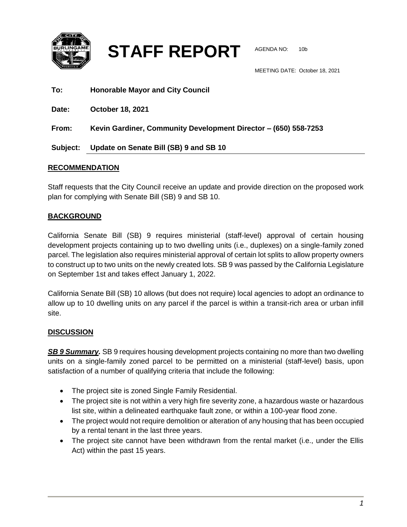

**STAFF REPORT** AGENDA NO: 10b

MEETING DATE: October 18, 2021

| To:      | <b>Honorable Mayor and City Council</b>                         |
|----------|-----------------------------------------------------------------|
| Date:    | <b>October 18, 2021</b>                                         |
| From:    | Kevin Gardiner, Community Development Director - (650) 558-7253 |
| Subject: | Update on Senate Bill (SB) 9 and SB 10                          |

## **RECOMMENDATION**

Staff requests that the City Council receive an update and provide direction on the proposed work plan for complying with Senate Bill (SB) 9 and SB 10.

## **BACKGROUND**

California Senate Bill (SB) 9 requires ministerial (staff-level) approval of certain housing development projects containing up to two dwelling units (i.e., duplexes) on a single-family zoned parcel. The legislation also requires ministerial approval of certain lot splits to allow property owners to construct up to two units on the newly created lots. SB 9 was passed by the California Legislature on September 1st and takes effect January 1, 2022.

California Senate Bill (SB) 10 allows (but does not require) local agencies to adopt an ordinance to allow up to 10 dwelling units on any parcel if the parcel is within a transit-rich area or urban infill site.

## **DISCUSSION**

*SB 9 Summary.* SB 9 requires housing development projects containing no more than two dwelling units on a single-family zoned parcel to be permitted on a ministerial (staff-level) basis, upon satisfaction of a number of qualifying criteria that include the following:

- The project site is zoned Single Family Residential.
- The project site is not within a very high fire severity zone, a hazardous waste or hazardous list site, within a delineated earthquake fault zone, or within a 100-year flood zone.
- The project would not require demolition or alteration of any housing that has been occupied by a rental tenant in the last three years.
- The project site cannot have been withdrawn from the rental market (i.e., under the Ellis Act) within the past 15 years.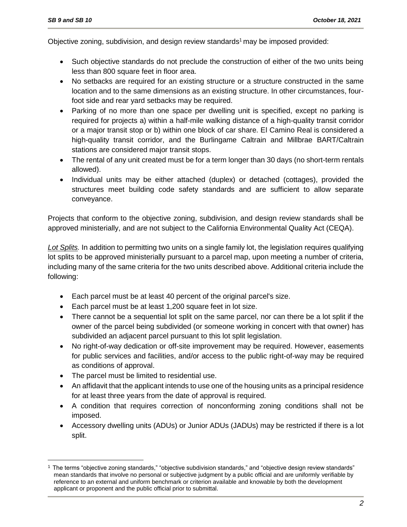Objective zoning, subdivision, and design review standards<sup>1</sup> may be imposed provided:

- Such objective standards do not preclude the construction of either of the two units being less than 800 square feet in floor area.
- No setbacks are required for an existing structure or a structure constructed in the same location and to the same dimensions as an existing structure. In other circumstances, fourfoot side and rear yard setbacks may be required.
- Parking of no more than one space per dwelling unit is specified, except no parking is required for projects a) within a half-mile walking distance of a high-quality transit corridor or a major transit stop or b) within one block of car share. El Camino Real is considered a high-quality transit corridor, and the Burlingame Caltrain and Millbrae BART/Caltrain stations are considered major transit stops.
- The rental of any unit created must be for a term longer than 30 days (no short-term rentals allowed).
- Individual units may be either attached (duplex) or detached (cottages), provided the structures meet building code safety standards and are sufficient to allow separate conveyance.

Projects that conform to the objective zoning, subdivision, and design review standards shall be approved ministerially, and are not subject to the California Environmental Quality Act (CEQA).

*Lot Splits.* In addition to permitting two units on a single family lot, the legislation requires qualifying lot splits to be approved ministerially pursuant to a parcel map, upon meeting a number of criteria, including many of the same criteria for the two units described above. Additional criteria include the following:

- Each parcel must be at least 40 percent of the original parcel's size.
- Each parcel must be at least 1,200 square feet in lot size.
- There cannot be a sequential lot split on the same parcel, nor can there be a lot split if the owner of the parcel being subdivided (or someone working in concert with that owner) has subdivided an adjacent parcel pursuant to this lot split legislation.
- No right-of-way dedication or off-site improvement may be required. However, easements for public services and facilities, and/or access to the public right-of-way may be required as conditions of approval.
- The parcel must be limited to residential use.

 $\overline{a}$ 

- An affidavit that the applicant intends to use one of the housing units as a principal residence for at least three years from the date of approval is required.
- A condition that requires correction of nonconforming zoning conditions shall not be imposed.
- Accessory dwelling units (ADUs) or Junior ADUs (JADUs) may be restricted if there is a lot split.

<sup>1</sup> The terms "objective zoning standards," "objective subdivision standards," and "objective design review standards" mean standards that involve no personal or subjective judgment by a public official and are uniformly verifiable by reference to an external and uniform benchmark or criterion available and knowable by both the development applicant or proponent and the public official prior to submittal.